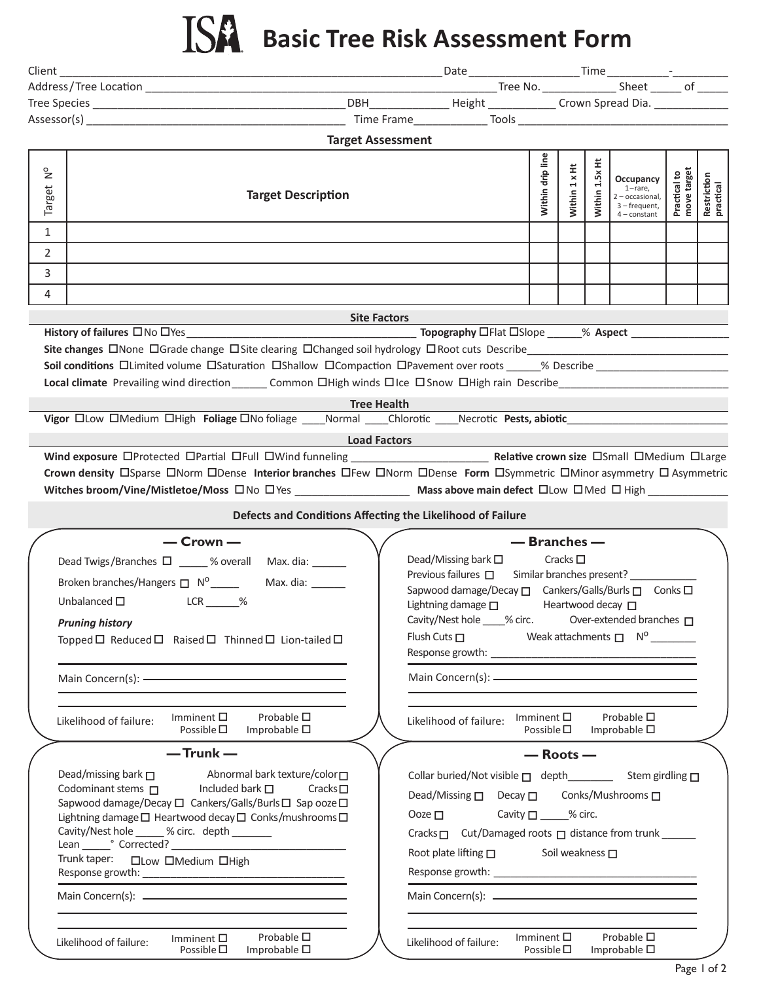## **Basic Tree Risk Assessment Form**

|                         |                                                                                                                                                                                                                                                                                                                                                    | DBH____________________Height ________________Crown Spread Dia. ________________                                                                                                                                                                                                                            |                                          |                                                            |                                                                                                   |                             |                          |
|-------------------------|----------------------------------------------------------------------------------------------------------------------------------------------------------------------------------------------------------------------------------------------------------------------------------------------------------------------------------------------------|-------------------------------------------------------------------------------------------------------------------------------------------------------------------------------------------------------------------------------------------------------------------------------------------------------------|------------------------------------------|------------------------------------------------------------|---------------------------------------------------------------------------------------------------|-----------------------------|--------------------------|
|                         |                                                                                                                                                                                                                                                                                                                                                    |                                                                                                                                                                                                                                                                                                             |                                          |                                                            |                                                                                                   |                             |                          |
|                         | <b>Target Assessment</b>                                                                                                                                                                                                                                                                                                                           |                                                                                                                                                                                                                                                                                                             |                                          |                                                            |                                                                                                   |                             |                          |
| $\frac{1}{2}$<br>Target | <b>Target Description</b>                                                                                                                                                                                                                                                                                                                          |                                                                                                                                                                                                                                                                                                             | Within drip line                         | Within 1 x Ht                                              | Ë.<br>Within $1.5x$<br>Occupancy<br>1-rare,<br>2 - occasional,<br>3 - frequent,<br>$4$ – constant | Practical to<br>move target | Restriction<br>practical |
| 1                       |                                                                                                                                                                                                                                                                                                                                                    |                                                                                                                                                                                                                                                                                                             |                                          |                                                            |                                                                                                   |                             |                          |
| 2                       |                                                                                                                                                                                                                                                                                                                                                    |                                                                                                                                                                                                                                                                                                             |                                          |                                                            |                                                                                                   |                             |                          |
| 3                       |                                                                                                                                                                                                                                                                                                                                                    |                                                                                                                                                                                                                                                                                                             |                                          |                                                            |                                                                                                   |                             |                          |
| 4                       |                                                                                                                                                                                                                                                                                                                                                    |                                                                                                                                                                                                                                                                                                             |                                          |                                                            |                                                                                                   |                             |                          |
|                         |                                                                                                                                                                                                                                                                                                                                                    |                                                                                                                                                                                                                                                                                                             |                                          |                                                            |                                                                                                   |                             |                          |
|                         | <b>Site Factors</b>                                                                                                                                                                                                                                                                                                                                |                                                                                                                                                                                                                                                                                                             |                                          |                                                            |                                                                                                   |                             |                          |
|                         | Site changes <b>ONone OGrade change OSite clearing OChanged soil hydrology ORoot cuts Describe</b><br>Soil conditions <b>Ollimited volume OSaturation OShallow OCompaction OPavement over roots</b> 6 90 90 90 90000 900000<br>Local climate Prevailing wind direction _______ Common DHigh winds DIce DSnow DHigh rain Describe                   |                                                                                                                                                                                                                                                                                                             |                                          |                                                            |                                                                                                   |                             |                          |
|                         | <b>Tree Health</b>                                                                                                                                                                                                                                                                                                                                 |                                                                                                                                                                                                                                                                                                             |                                          |                                                            |                                                                                                   |                             |                          |
|                         |                                                                                                                                                                                                                                                                                                                                                    |                                                                                                                                                                                                                                                                                                             |                                          |                                                            |                                                                                                   |                             |                          |
|                         | <b>Load Factors</b>                                                                                                                                                                                                                                                                                                                                |                                                                                                                                                                                                                                                                                                             |                                          |                                                            |                                                                                                   |                             |                          |
|                         | Crown density <b>Elacts</b> Enform Eldense Interior branches EFew ENorm EDense Form Elsymmetric EMinor asymmetry El Asymmetric                                                                                                                                                                                                                     |                                                                                                                                                                                                                                                                                                             |                                          |                                                            |                                                                                                   |                             |                          |
|                         | Defects and Conditions Affecting the Likelihood of Failure                                                                                                                                                                                                                                                                                         |                                                                                                                                                                                                                                                                                                             |                                          |                                                            |                                                                                                   |                             |                          |
|                         | $-$ Crown $-$<br>Dead Twigs/Branches □ ____ % overall Max. dia: ______<br>$LCR$ %<br>Unbalanced $\square$<br><b>Pruning history</b><br>Topped $\Box$ Reduced $\Box$ Raised $\Box$ Thinned $\Box$ Lion-tailed $\Box$                                                                                                                                | Dead/Missing bark $\square$<br>Previous failures □ Similar branches present? _____________<br>Sapwood damage/Decay □ Cankers/Galls/Burls □ Conks □<br>Lightning damage $\square$<br>Cavity/Nest hole ____% circ. Over-extended branches □<br>Flush Cuts $\square$ Weak attachments $\square$ N <sup>o</sup> |                                          | — Branches —<br>Cracks $\square$<br>Heartwood decay $\Box$ |                                                                                                   |                             |                          |
|                         |                                                                                                                                                                                                                                                                                                                                                    |                                                                                                                                                                                                                                                                                                             |                                          |                                                            |                                                                                                   |                             |                          |
|                         | Probable $\square$<br>Imminent $\square$<br>Likelihood of failure:<br>Possible $\square$ Improbable $\square$                                                                                                                                                                                                                                      | Likelihood of failure:                                                                                                                                                                                                                                                                                      | Imminent $\square$<br>Possible $\square$ |                                                            | Probable $\square$<br>Improbable $\square$                                                        |                             |                          |
|                         | $-$ Trunk $-$                                                                                                                                                                                                                                                                                                                                      |                                                                                                                                                                                                                                                                                                             |                                          | $-$ Roots $-$                                              |                                                                                                   |                             |                          |
|                         | Dead/missing bark $\Box$<br>Abnormal bark texture/color<br>Codominant stems $\Box$<br>Included bark $\square$<br>Cracks $\square$<br>Sapwood damage/Decay □ Cankers/Galls/Burls □ Sap ooze □<br>Lightning damage □ Heartwood decay □ Conks/mushrooms □<br>Cavity/Nest hole _____ % circ. depth ______<br>Trunk taper: <b>IDLow</b> IMedium  IIHigh | Dead/Missing □ Decay □ Conks/Mushrooms □<br>Ooze $\Box$<br>Cracks □ Cut/Damaged roots □ distance from trunk ______<br>Root plate lifting $\square$ Soil weakness $\square$                                                                                                                                  | Cavity $\Box$ % circ.                    |                                                            |                                                                                                   |                             |                          |
|                         |                                                                                                                                                                                                                                                                                                                                                    |                                                                                                                                                                                                                                                                                                             |                                          |                                                            |                                                                                                   |                             |                          |
|                         | Probable $\square$<br>Imminent $\square$<br>Likelihood of failure:<br>Possible $\square$<br>Improbable $\square$                                                                                                                                                                                                                                   | Likelihood of failure:                                                                                                                                                                                                                                                                                      | Imminent $\square$<br>Possible $\square$ |                                                            | Probable $\square$<br>Improbable $\square$                                                        |                             |                          |